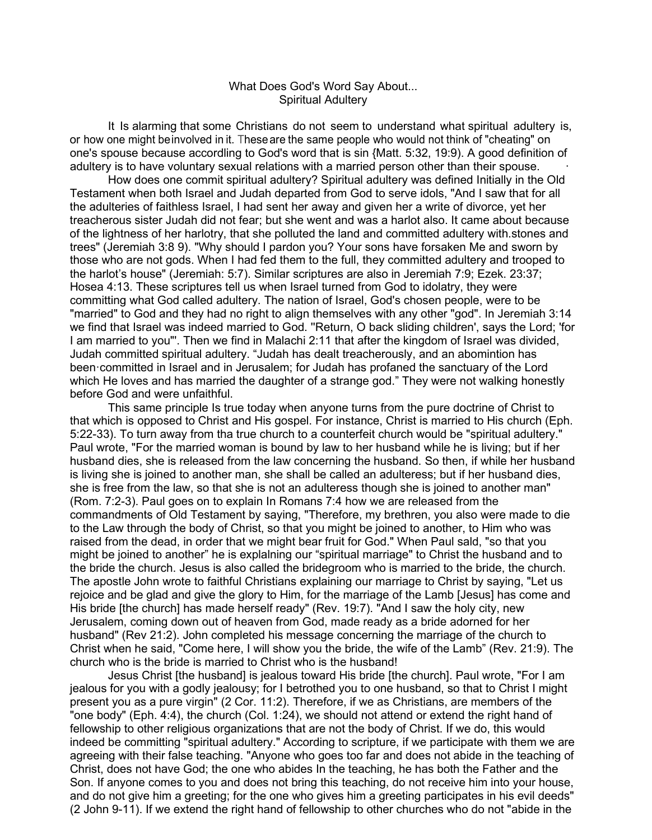## What Does God's Word Say About... Spiritual Adultery

It Is alarming that some Christians do not seem to understand what spiritual adultery is, or how one might beinvolved in it. Theseare the same people who would not think of "cheating" on one's spouse because accordling to God's word that is sin {Matt. 5:32, 19:9). A good definition of adultery is to have voluntary sexual relations with a married person other than their spouse.

How does one commit spiritual adultery? Spiritual adultery was defined Initially in the Old Testament when both Israel and Judah departed from God to serve idols, "And I saw that for all the adulteries of faithless Israel, I had sent her away and given her a write of divorce, yet her treacherous sister Judah did not fear; but she went and was a harlot also. It came about because of the lightness of her harlotry, that she polluted the land and committed adultery with.stones and trees" (Jeremiah 3:8 9). "Why should I pardon you? Your sons have forsaken Me and sworn by those who are not gods. When I had fed them to the full, they committed adultery and trooped to the harlot's house" (Jeremiah: 5:7). Similar scriptures are also in Jeremiah 7:9; Ezek. 23:37; Hosea 4:13. These scriptures tell us when Israel turned from God to idolatry, they were committing what God called adultery. The nation of Israel, God's chosen people, were to be "married" to God and they had no right to align themselves with any other "god". In Jeremiah 3:14 we find that Israel was indeed married to God. ''Return, O back sliding children', says the Lord; 'for I am married to you"'. Then we find in Malachi 2:11 that after the kingdom of Israel was divided, Judah committed spiritual adultery. "Judah has dealt treacherously, and an abomintion has been·committed in Israel and in Jerusalem; for Judah has profaned the sanctuary of the Lord which He loves and has married the daughter of a strange god." They were not walking honestly before God and were unfaithful.

rejoice and be glad and give the glory to Him, for the marriage of the Lamb [Jesus] has come and This same principle Is true today when anyone turns from the pure doctrine of Christ to that which is opposed to Christ and His gospel. For instance, Christ is married to His church (Eph. 5:22-33). To turn away from tha true church to a counterfeit church would be "spiritual adultery." Paul wrote, "For the married woman is bound by law to her husband while he is living; but if her husband dies, she is released from the law concerning the husband. So then, if while her husband is living she is joined to another man, she shall be called an adulteress; but if her husband dies, she is free from the law, so that she is not an adulteress though she is joined to another man" (Rom. 7:2-3). Paul goes on to explain In Romans 7:4 how we are released from the commandments of Old Testament by saying, "Therefore, my brethren, you also were made to die to the Law through the body of Christ, so that you might be joined to another, to Him who was raised from the dead, in order that we might bear fruit for God." When Paul sald, "so that you might be joined to another" he is explalning our "spiritual marriage" to Christ the husband and to the bride the church. Jesus is also called the bridegroom who is married to the bride, the church. The apostle John wrote to faithful Christians explaining our marriage to Christ by saying, "Let us His bride [the church] has made herself ready" (Rev. 19:7). "And I saw the holy city, new Jerusalem, coming down out of heaven from God, made ready as a bride adorned for her husband" (Rev 21:2). John completed his message concerning the marriage of the church to Christ when he said, "Come here, I will show you the bride, the wife of the Lamb" (Rev. 21:9). The church who is the bride is married to Christ who is the husband!

Jesus Christ [the husband] is jealous toward His bride [the church]. Paul wrote, "For I am jealous for you with a godly jealousy; for I betrothed you to one husband, so that to Christ I might present you as a pure virgin" (2 Cor. 11:2). Therefore, if we as Christians, are members of the "one body" (Eph. 4:4), the church (Col. 1:24), we should not attend or extend the right hand of fellowship to other religious organizations that are not the body of Christ. If we do, this would indeed be committing "spiritual adultery." According to scripture, if we participate with them we are agreeing with their false teaching. "Anyone who goes too far and does not abide in the teaching of Christ, does not have God; the one who abides In the teaching, he has both the Father and the Son. If anyone comes to you and does not bring this teaching, do not receive him into your house, and do not give him a greeting; for the one who gives him a greeting participates in his evil deeds" (2 John 9-11). If we extend the right hand of fellowship to other churches who do not "abide in the